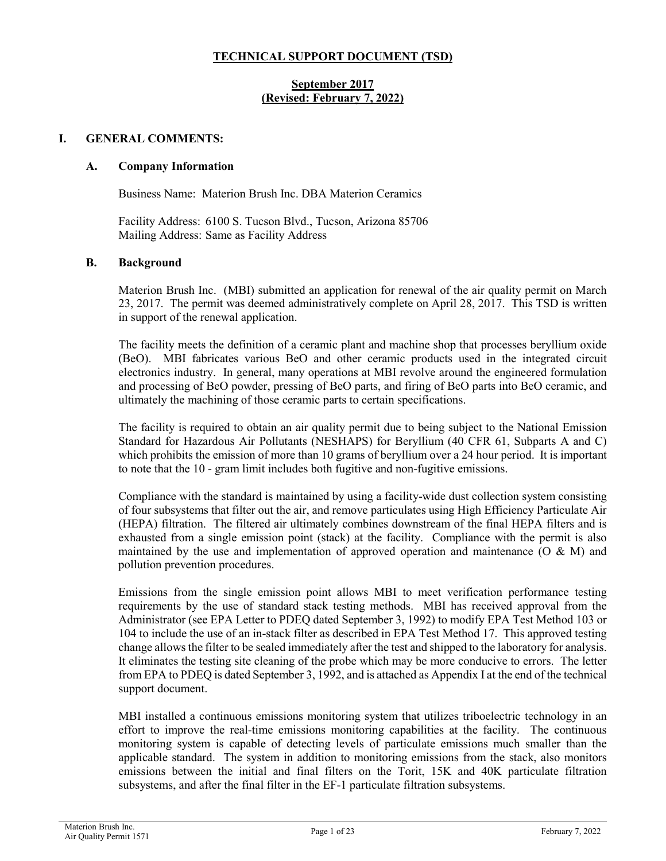## **TECHNICAL SUPPORT DOCUMENT (TSD)**

## **September 2017 (Revised: February 7, 2022)**

## **I. GENERAL COMMENTS:**

### **A. Company Information**

Business Name: Materion Brush Inc. DBA Materion Ceramics

Facility Address: 6100 S. Tucson Blvd., Tucson, Arizona 85706 Mailing Address: Same as Facility Address

#### **B. Background**

Materion Brush Inc. (MBI) submitted an application for renewal of the air quality permit on March 23, 2017. The permit was deemed administratively complete on April 28, 2017. This TSD is written in support of the renewal application.

The facility meets the definition of a ceramic plant and machine shop that processes beryllium oxide (BeO). MBI fabricates various BeO and other ceramic products used in the integrated circuit electronics industry. In general, many operations at MBI revolve around the engineered formulation and processing of BeO powder, pressing of BeO parts, and firing of BeO parts into BeO ceramic, and ultimately the machining of those ceramic parts to certain specifications.

The facility is required to obtain an air quality permit due to being subject to the National Emission Standard for Hazardous Air Pollutants (NESHAPS) for Beryllium (40 CFR 61, Subparts A and C) which prohibits the emission of more than 10 grams of beryllium over a 24 hour period. It is important to note that the 10 - gram limit includes both fugitive and non-fugitive emissions.

Compliance with the standard is maintained by using a facility-wide dust collection system consisting of four subsystems that filter out the air, and remove particulates using High Efficiency Particulate Air (HEPA) filtration. The filtered air ultimately combines downstream of the final HEPA filters and is exhausted from a single emission point (stack) at the facility. Compliance with the permit is also maintained by the use and implementation of approved operation and maintenance (O & M) and pollution prevention procedures.

Emissions from the single emission point allows MBI to meet verification performance testing requirements by the use of standard stack testing methods. MBI has received approval from the Administrator (see EPA Letter to PDEQ dated September 3, 1992) to modify EPA Test Method 103 or 104 to include the use of an in-stack filter as described in EPA Test Method 17. This approved testing change allows the filter to be sealed immediately after the test and shipped to the laboratory for analysis. It eliminates the testing site cleaning of the probe which may be more conducive to errors. The letter from EPA to PDEQ is dated September 3, 1992, and is attached as Appendix I at the end of the technical support document.

MBI installed a continuous emissions monitoring system that utilizes triboelectric technology in an effort to improve the real-time emissions monitoring capabilities at the facility. The continuous monitoring system is capable of detecting levels of particulate emissions much smaller than the applicable standard. The system in addition to monitoring emissions from the stack, also monitors emissions between the initial and final filters on the Torit, 15K and 40K particulate filtration subsystems, and after the final filter in the EF-1 particulate filtration subsystems.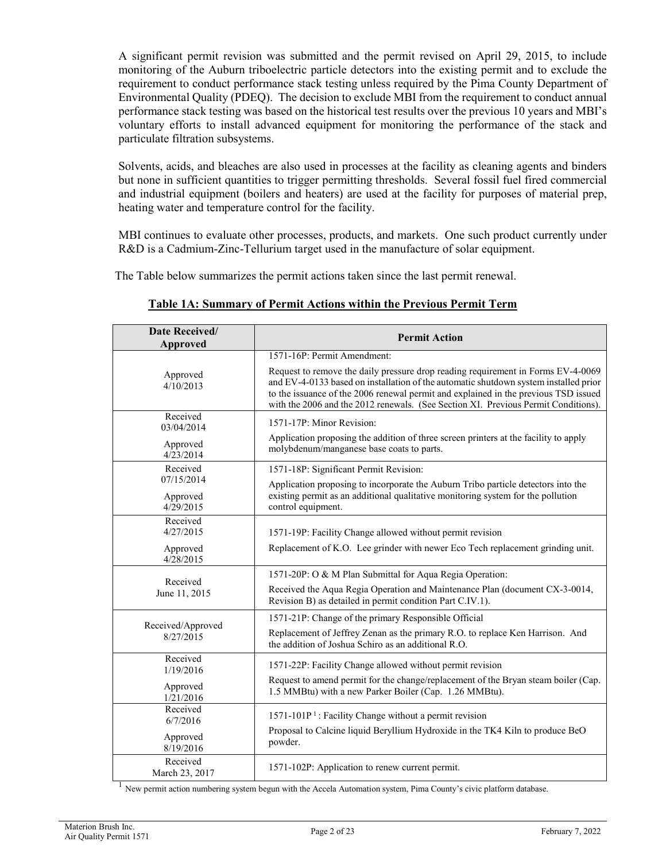A significant permit revision was submitted and the permit revised on April 29, 2015, to include monitoring of the Auburn triboelectric particle detectors into the existing permit and to exclude the requirement to conduct performance stack testing unless required by the Pima County Department of Environmental Quality (PDEQ). The decision to exclude MBI from the requirement to conduct annual performance stack testing was based on the historical test results over the previous 10 years and MBI's voluntary efforts to install advanced equipment for monitoring the performance of the stack and particulate filtration subsystems.

Solvents, acids, and bleaches are also used in processes at the facility as cleaning agents and binders but none in sufficient quantities to trigger permitting thresholds. Several fossil fuel fired commercial and industrial equipment (boilers and heaters) are used at the facility for purposes of material prep, heating water and temperature control for the facility.

MBI continues to evaluate other processes, products, and markets. One such product currently under R&D is a Cadmium-Zinc-Tellurium target used in the manufacture of solar equipment.

The Table below summarizes the permit actions taken since the last permit renewal.

| Date Received/<br>Approved          | <b>Permit Action</b>                                                                                                                                                                                                                                                                                                                                  |
|-------------------------------------|-------------------------------------------------------------------------------------------------------------------------------------------------------------------------------------------------------------------------------------------------------------------------------------------------------------------------------------------------------|
|                                     | 1571-16P: Permit Amendment:                                                                                                                                                                                                                                                                                                                           |
| Approved<br>4/10/2013               | Request to remove the daily pressure drop reading requirement in Forms EV-4-0069<br>and EV-4-0133 based on installation of the automatic shutdown system installed prior<br>to the issuance of the 2006 renewal permit and explained in the previous TSD issued<br>with the 2006 and the 2012 renewals. (See Section XI. Previous Permit Conditions). |
| Received<br>03/04/2014              | 1571-17P: Minor Revision:                                                                                                                                                                                                                                                                                                                             |
| Approved<br>4/23/2014               | Application proposing the addition of three screen printers at the facility to apply<br>molybdenum/manganese base coats to parts.                                                                                                                                                                                                                     |
| Received                            | 1571-18P: Significant Permit Revision:                                                                                                                                                                                                                                                                                                                |
| 07/15/2014<br>Approved<br>4/29/2015 | Application proposing to incorporate the Auburn Tribo particle detectors into the<br>existing permit as an additional qualitative monitoring system for the pollution<br>control equipment.                                                                                                                                                           |
| Received<br>4/27/2015               | 1571-19P: Facility Change allowed without permit revision                                                                                                                                                                                                                                                                                             |
| Approved<br>4/28/2015               | Replacement of K.O. Lee grinder with newer Eco Tech replacement grinding unit.                                                                                                                                                                                                                                                                        |
|                                     | 1571-20P: O & M Plan Submittal for Aqua Regia Operation:                                                                                                                                                                                                                                                                                              |
| Received<br>June 11, 2015           | Received the Aqua Regia Operation and Maintenance Plan (document CX-3-0014,<br>Revision B) as detailed in permit condition Part C.IV.1).                                                                                                                                                                                                              |
|                                     | 1571-21P: Change of the primary Responsible Official                                                                                                                                                                                                                                                                                                  |
| Received/Approved<br>8/27/2015      | Replacement of Jeffrey Zenan as the primary R.O. to replace Ken Harrison. And<br>the addition of Joshua Schiro as an additional R.O.                                                                                                                                                                                                                  |
| Received<br>1/19/2016               | 1571-22P: Facility Change allowed without permit revision                                                                                                                                                                                                                                                                                             |
| Approved<br>1/21/2016               | Request to amend permit for the change/replacement of the Bryan steam boiler (Cap.<br>1.5 MMBtu) with a new Parker Boiler (Cap. 1.26 MMBtu).                                                                                                                                                                                                          |
| Received<br>6/7/2016                | 1571-101P <sup>1</sup> : Facility Change without a permit revision                                                                                                                                                                                                                                                                                    |
| Approved<br>8/19/2016               | Proposal to Calcine liquid Beryllium Hydroxide in the TK4 Kiln to produce BeO<br>powder.                                                                                                                                                                                                                                                              |
| Received<br>March 23, 2017          | 1571-102P: Application to renew current permit.                                                                                                                                                                                                                                                                                                       |

## **Table 1A: Summary of Permit Actions within the Previous Permit Term**

 $<sup>1</sup>$  New permit action numbering system begun with the Accela Automation system, Pima County's civic platform database.</sup>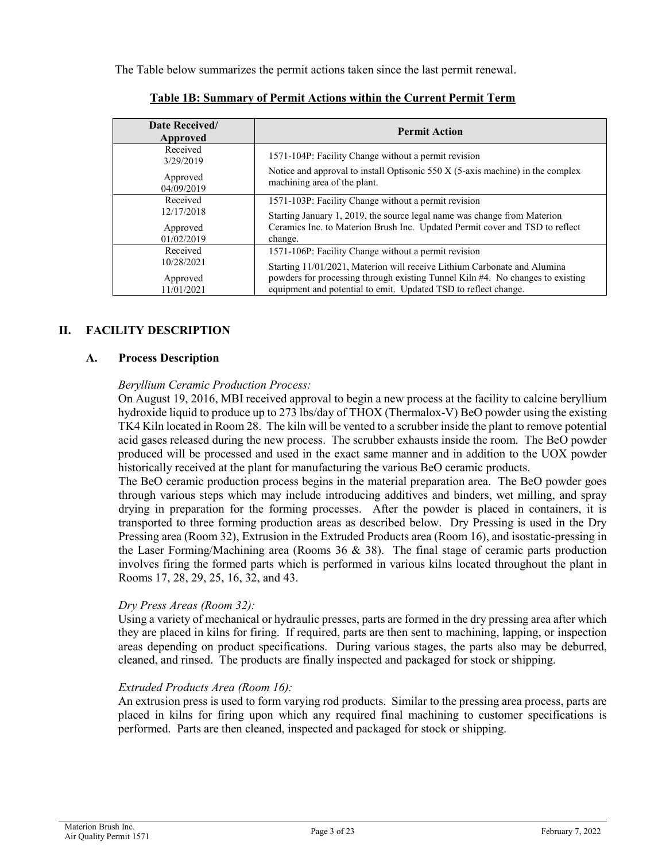The Table below summarizes the permit actions taken since the last permit renewal.

| Date Received/<br>Approved | <b>Permit Action</b>                                                                                              |
|----------------------------|-------------------------------------------------------------------------------------------------------------------|
| Received<br>3/29/2019      | 1571-104P: Facility Change without a permit revision                                                              |
| Approved<br>04/09/2019     | Notice and approval to install Optisonic $550 X (5-axis)$ machine) in the complex<br>machining area of the plant. |
| Received                   | 1571-103P: Facility Change without a permit revision                                                              |
| 12/17/2018                 | Starting January 1, 2019, the source legal name was change from Materion                                          |
| Approved                   | Ceramics Inc. to Materion Brush Inc. Updated Permit cover and TSD to reflect                                      |
| 01/02/2019                 | change.                                                                                                           |
| Received                   | 1571-106P: Facility Change without a permit revision                                                              |
| 10/28/2021                 | Starting 11/01/2021, Materion will receive Lithium Carbonate and Alumina                                          |
| Approved                   | powders for processing through existing Tunnel Kiln #4. No changes to existing                                    |
| 11/01/2021                 | equipment and potential to emit. Updated TSD to reflect change.                                                   |

## **Table 1B: Summary of Permit Actions within the Current Permit Term**

## **II. FACILITY DESCRIPTION**

## **A. Process Description**

### *Beryllium Ceramic Production Process:*

On August 19, 2016, MBI received approval to begin a new process at the facility to calcine beryllium hydroxide liquid to produce up to 273 lbs/day of THOX (Thermalox-V) BeO powder using the existing TK4 Kiln located in Room 28. The kiln will be vented to a scrubber inside the plant to remove potential acid gases released during the new process. The scrubber exhausts inside the room. The BeO powder produced will be processed and used in the exact same manner and in addition to the UOX powder historically received at the plant for manufacturing the various BeO ceramic products.

The BeO ceramic production process begins in the material preparation area. The BeO powder goes through various steps which may include introducing additives and binders, wet milling, and spray drying in preparation for the forming processes. After the powder is placed in containers, it is transported to three forming production areas as described below. Dry Pressing is used in the Dry Pressing area (Room 32), Extrusion in the Extruded Products area (Room 16), and isostatic-pressing in the Laser Forming/Machining area (Rooms 36 & 38). The final stage of ceramic parts production involves firing the formed parts which is performed in various kilns located throughout the plant in Rooms 17, 28, 29, 25, 16, 32, and 43.

## *Dry Press Areas (Room 32):*

Using a variety of mechanical or hydraulic presses, parts are formed in the dry pressing area after which they are placed in kilns for firing. If required, parts are then sent to machining, lapping, or inspection areas depending on product specifications. During various stages, the parts also may be deburred, cleaned, and rinsed. The products are finally inspected and packaged for stock or shipping.

### *Extruded Products Area (Room 16):*

An extrusion press is used to form varying rod products. Similar to the pressing area process, parts are placed in kilns for firing upon which any required final machining to customer specifications is performed. Parts are then cleaned, inspected and packaged for stock or shipping.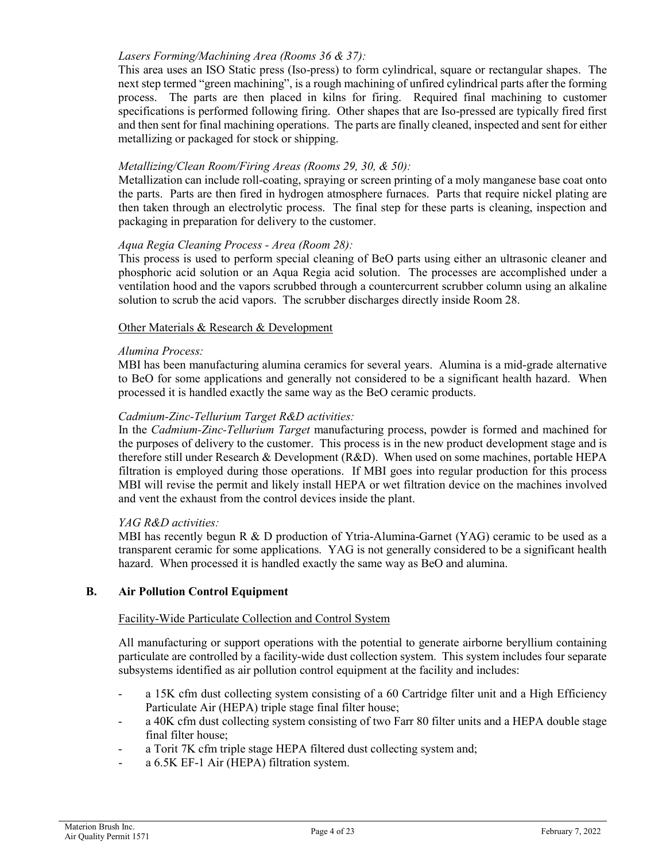## *Lasers Forming/Machining Area (Rooms 36 & 37):*

This area uses an ISO Static press (Iso-press) to form cylindrical, square or rectangular shapes. The next step termed "green machining", is a rough machining of unfired cylindrical parts after the forming process. The parts are then placed in kilns for firing. Required final machining to customer specifications is performed following firing. Other shapes that are Iso-pressed are typically fired first and then sent for final machining operations. The parts are finally cleaned, inspected and sent for either metallizing or packaged for stock or shipping.

## *Metallizing/Clean Room/Firing Areas (Rooms 29, 30, & 50):*

Metallization can include roll-coating, spraying or screen printing of a moly manganese base coat onto the parts. Parts are then fired in hydrogen atmosphere furnaces. Parts that require nickel plating are then taken through an electrolytic process. The final step for these parts is cleaning, inspection and packaging in preparation for delivery to the customer.

### *Aqua Regia Cleaning Process - Area (Room 28):*

This process is used to perform special cleaning of BeO parts using either an ultrasonic cleaner and phosphoric acid solution or an Aqua Regia acid solution. The processes are accomplished under a ventilation hood and the vapors scrubbed through a countercurrent scrubber column using an alkaline solution to scrub the acid vapors. The scrubber discharges directly inside Room 28.

### Other Materials & Research & Development

#### *Alumina Process:*

MBI has been manufacturing alumina ceramics for several years. Alumina is a mid-grade alternative to BeO for some applications and generally not considered to be a significant health hazard. When processed it is handled exactly the same way as the BeO ceramic products.

## *Cadmium-Zinc-Tellurium Target R&D activities:*

In the *Cadmium-Zinc-Tellurium Target* manufacturing process, powder is formed and machined for the purposes of delivery to the customer. This process is in the new product development stage and is therefore still under Research & Development (R&D). When used on some machines, portable HEPA filtration is employed during those operations. If MBI goes into regular production for this process MBI will revise the permit and likely install HEPA or wet filtration device on the machines involved and vent the exhaust from the control devices inside the plant.

### *YAG R&D activities:*

MBI has recently begun R & D production of Ytria-Alumina-Garnet (YAG) ceramic to be used as a transparent ceramic for some applications. YAG is not generally considered to be a significant health hazard. When processed it is handled exactly the same way as BeO and alumina.

### **B. Air Pollution Control Equipment**

#### Facility-Wide Particulate Collection and Control System

All manufacturing or support operations with the potential to generate airborne beryllium containing particulate are controlled by a facility-wide dust collection system. This system includes four separate subsystems identified as air pollution control equipment at the facility and includes:

- a 15K cfm dust collecting system consisting of a 60 Cartridge filter unit and a High Efficiency Particulate Air (HEPA) triple stage final filter house;
- a 40K cfm dust collecting system consisting of two Farr 80 filter units and a HEPA double stage final filter house;
- a Torit 7K cfm triple stage HEPA filtered dust collecting system and;
- a 6.5K EF-1 Air (HEPA) filtration system.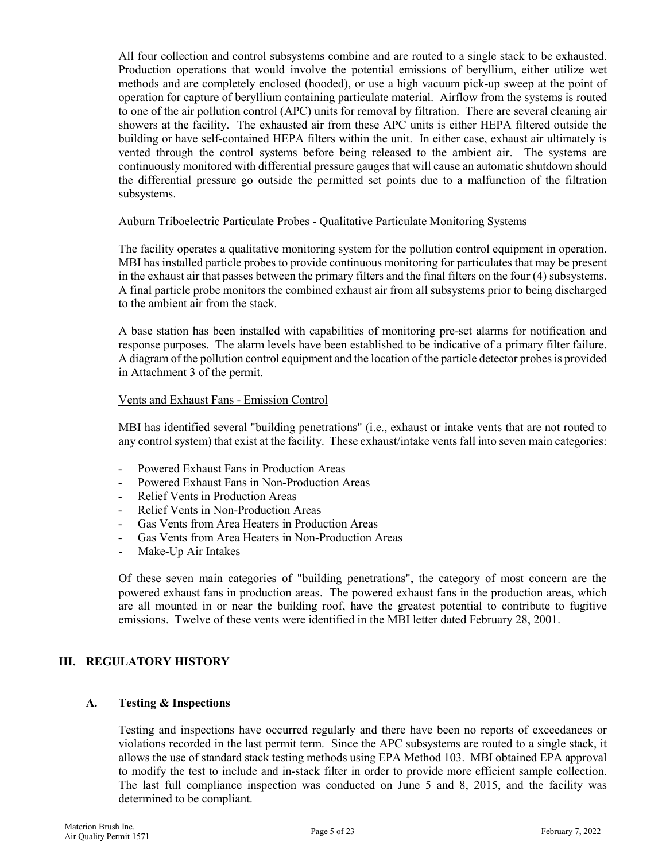All four collection and control subsystems combine and are routed to a single stack to be exhausted. Production operations that would involve the potential emissions of beryllium, either utilize wet methods and are completely enclosed (hooded), or use a high vacuum pick-up sweep at the point of operation for capture of beryllium containing particulate material. Airflow from the systems is routed to one of the air pollution control (APC) units for removal by filtration. There are several cleaning air showers at the facility. The exhausted air from these APC units is either HEPA filtered outside the building or have self-contained HEPA filters within the unit. In either case, exhaust air ultimately is vented through the control systems before being released to the ambient air. The systems are continuously monitored with differential pressure gauges that will cause an automatic shutdown should the differential pressure go outside the permitted set points due to a malfunction of the filtration subsystems.

## Auburn Triboelectric Particulate Probes - Qualitative Particulate Monitoring Systems

The facility operates a qualitative monitoring system for the pollution control equipment in operation. MBI has installed particle probes to provide continuous monitoring for particulates that may be present in the exhaust air that passes between the primary filters and the final filters on the four (4) subsystems. A final particle probe monitors the combined exhaust air from all subsystems prior to being discharged to the ambient air from the stack.

A base station has been installed with capabilities of monitoring pre-set alarms for notification and response purposes. The alarm levels have been established to be indicative of a primary filter failure. A diagram of the pollution control equipment and the location of the particle detector probes is provided in Attachment 3 of the permit.

### Vents and Exhaust Fans - Emission Control

MBI has identified several "building penetrations" (i.e., exhaust or intake vents that are not routed to any control system) that exist at the facility. These exhaust/intake vents fall into seven main categories:

- Powered Exhaust Fans in Production Areas
- Powered Exhaust Fans in Non-Production Areas
- Relief Vents in Production Areas
- Relief Vents in Non-Production Areas
- Gas Vents from Area Heaters in Production Areas
- Gas Vents from Area Heaters in Non-Production Areas
- Make-Up Air Intakes

Of these seven main categories of "building penetrations", the category of most concern are the powered exhaust fans in production areas. The powered exhaust fans in the production areas, which are all mounted in or near the building roof, have the greatest potential to contribute to fugitive emissions. Twelve of these vents were identified in the MBI letter dated February 28, 2001.

## **III. REGULATORY HISTORY**

## **A. Testing & Inspections**

Testing and inspections have occurred regularly and there have been no reports of exceedances or violations recorded in the last permit term. Since the APC subsystems are routed to a single stack, it allows the use of standard stack testing methods using EPA Method 103. MBI obtained EPA approval to modify the test to include and in-stack filter in order to provide more efficient sample collection. The last full compliance inspection was conducted on June 5 and 8, 2015, and the facility was determined to be compliant.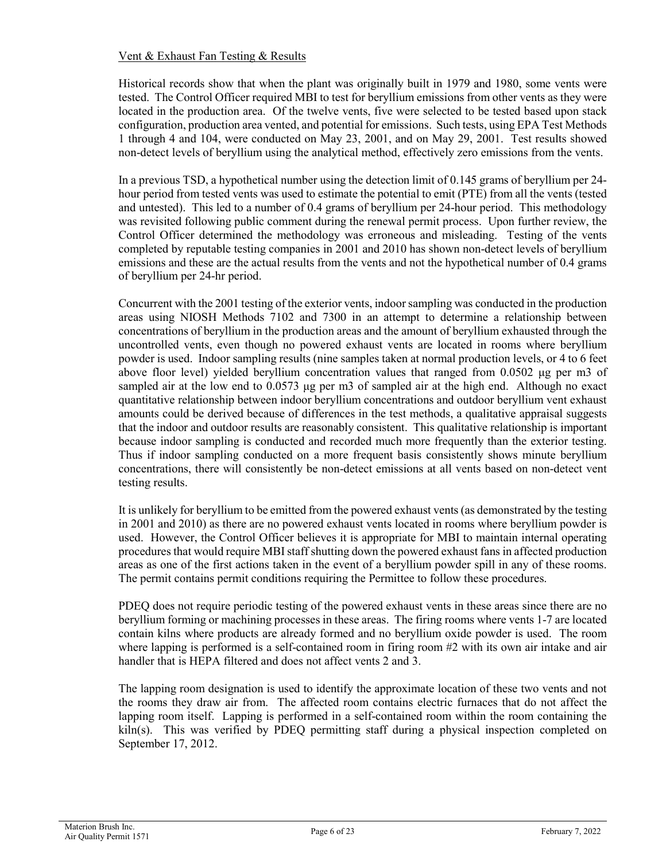## Vent & Exhaust Fan Testing & Results

Historical records show that when the plant was originally built in 1979 and 1980, some vents were tested. The Control Officer required MBI to test for beryllium emissions from other vents as they were located in the production area. Of the twelve vents, five were selected to be tested based upon stack configuration, production area vented, and potential for emissions. Such tests, using EPA Test Methods 1 through 4 and 104, were conducted on May 23, 2001, and on May 29, 2001. Test results showed non-detect levels of beryllium using the analytical method, effectively zero emissions from the vents.

In a previous TSD, a hypothetical number using the detection limit of 0.145 grams of beryllium per 24 hour period from tested vents was used to estimate the potential to emit (PTE) from all the vents (tested and untested). This led to a number of 0.4 grams of beryllium per 24-hour period. This methodology was revisited following public comment during the renewal permit process. Upon further review, the Control Officer determined the methodology was erroneous and misleading. Testing of the vents completed by reputable testing companies in 2001 and 2010 has shown non-detect levels of beryllium emissions and these are the actual results from the vents and not the hypothetical number of 0.4 grams of beryllium per 24-hr period.

Concurrent with the 2001 testing of the exterior vents, indoor sampling was conducted in the production areas using NIOSH Methods 7102 and 7300 in an attempt to determine a relationship between concentrations of beryllium in the production areas and the amount of beryllium exhausted through the uncontrolled vents, even though no powered exhaust vents are located in rooms where beryllium powder is used. Indoor sampling results (nine samples taken at normal production levels, or 4 to 6 feet above floor level) yielded beryllium concentration values that ranged from 0.0502 μg per m3 of sampled air at the low end to 0.0573 μg per m3 of sampled air at the high end. Although no exact quantitative relationship between indoor beryllium concentrations and outdoor beryllium vent exhaust amounts could be derived because of differences in the test methods, a qualitative appraisal suggests that the indoor and outdoor results are reasonably consistent. This qualitative relationship is important because indoor sampling is conducted and recorded much more frequently than the exterior testing. Thus if indoor sampling conducted on a more frequent basis consistently shows minute beryllium concentrations, there will consistently be non-detect emissions at all vents based on non-detect vent testing results.

It is unlikely for beryllium to be emitted from the powered exhaust vents (as demonstrated by the testing in 2001 and 2010) as there are no powered exhaust vents located in rooms where beryllium powder is used. However, the Control Officer believes it is appropriate for MBI to maintain internal operating procedures that would require MBI staff shutting down the powered exhaust fans in affected production areas as one of the first actions taken in the event of a beryllium powder spill in any of these rooms. The permit contains permit conditions requiring the Permittee to follow these procedures.

PDEQ does not require periodic testing of the powered exhaust vents in these areas since there are no beryllium forming or machining processes in these areas. The firing rooms where vents 1-7 are located contain kilns where products are already formed and no beryllium oxide powder is used. The room where lapping is performed is a self-contained room in firing room #2 with its own air intake and air handler that is HEPA filtered and does not affect vents 2 and 3.

The lapping room designation is used to identify the approximate location of these two vents and not the rooms they draw air from. The affected room contains electric furnaces that do not affect the lapping room itself. Lapping is performed in a self-contained room within the room containing the kiln(s). This was verified by PDEQ permitting staff during a physical inspection completed on September 17, 2012.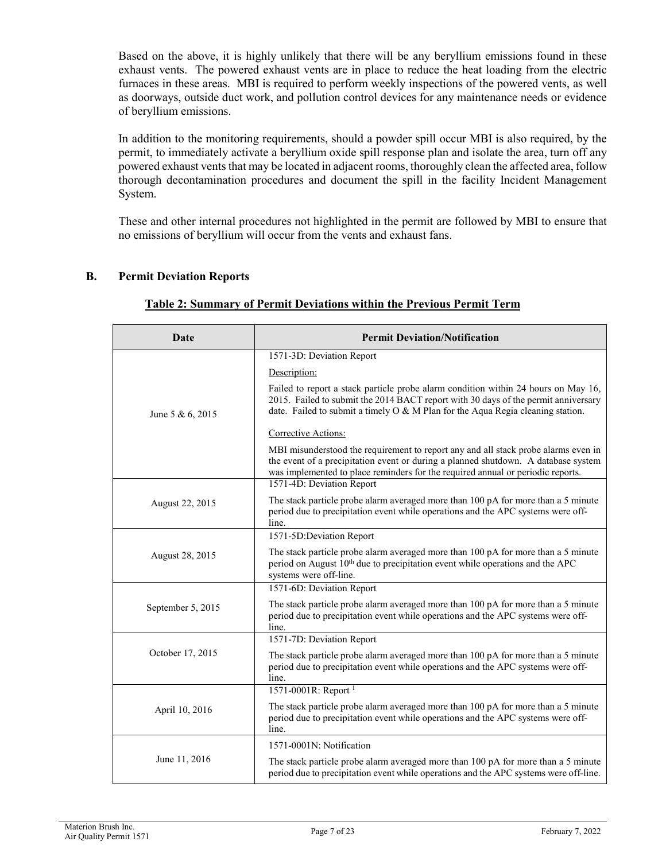Based on the above, it is highly unlikely that there will be any beryllium emissions found in these exhaust vents. The powered exhaust vents are in place to reduce the heat loading from the electric furnaces in these areas. MBI is required to perform weekly inspections of the powered vents, as well as doorways, outside duct work, and pollution control devices for any maintenance needs or evidence of beryllium emissions.

In addition to the monitoring requirements, should a powder spill occur MBI is also required, by the permit, to immediately activate a beryllium oxide spill response plan and isolate the area, turn off any powered exhaust vents that may be located in adjacent rooms, thoroughly clean the affected area, follow thorough decontamination procedures and document the spill in the facility Incident Management System.

These and other internal procedures not highlighted in the permit are followed by MBI to ensure that no emissions of beryllium will occur from the vents and exhaust fans.

## **B. Permit Deviation Reports**

| Date              | <b>Permit Deviation/Notification</b>                                                                                                                                                                                                                                                     |
|-------------------|------------------------------------------------------------------------------------------------------------------------------------------------------------------------------------------------------------------------------------------------------------------------------------------|
|                   | 1571-3D: Deviation Report                                                                                                                                                                                                                                                                |
| June 5 & 6, 2015  | Description:                                                                                                                                                                                                                                                                             |
|                   | Failed to report a stack particle probe alarm condition within 24 hours on May 16,<br>2015. Failed to submit the 2014 BACT report with 30 days of the permit anniversary<br>date. Failed to submit a timely $O & M$ Plan for the Aqua Regia cleaning station.                            |
|                   | Corrective Actions:                                                                                                                                                                                                                                                                      |
|                   | MBI misunderstood the requirement to report any and all stack probe alarms even in<br>the event of a precipitation event or during a planned shutdown. A database system<br>was implemented to place reminders for the required annual or periodic reports.<br>1571-4D: Deviation Report |
|                   |                                                                                                                                                                                                                                                                                          |
| August 22, 2015   | The stack particle probe alarm averaged more than 100 pA for more than a 5 minute<br>period due to precipitation event while operations and the APC systems were off-<br>line.                                                                                                           |
|                   | 1571-5D:Deviation Report                                                                                                                                                                                                                                                                 |
| August 28, 2015   | The stack particle probe alarm averaged more than 100 pA for more than a 5 minute<br>period on August 10 <sup>th</sup> due to precipitation event while operations and the APC<br>systems were off-line.                                                                                 |
|                   | 1571-6D: Deviation Report                                                                                                                                                                                                                                                                |
| September 5, 2015 | The stack particle probe alarm averaged more than 100 pA for more than a 5 minute<br>period due to precipitation event while operations and the APC systems were off-<br>line.                                                                                                           |
|                   | 1571-7D: Deviation Report                                                                                                                                                                                                                                                                |
| October 17, 2015  | The stack particle probe alarm averaged more than 100 pA for more than a 5 minute<br>period due to precipitation event while operations and the APC systems were off-<br>line.                                                                                                           |
|                   | 1571-0001R: Report $1$                                                                                                                                                                                                                                                                   |
| April 10, 2016    | The stack particle probe alarm averaged more than 100 pA for more than a 5 minute<br>period due to precipitation event while operations and the APC systems were off-<br>line.                                                                                                           |
|                   | 1571-0001N: Notification                                                                                                                                                                                                                                                                 |
| June 11, 2016     | The stack particle probe alarm averaged more than 100 pA for more than a 5 minute<br>period due to precipitation event while operations and the APC systems were off-line.                                                                                                               |

## **Table 2: Summary of Permit Deviations within the Previous Permit Term**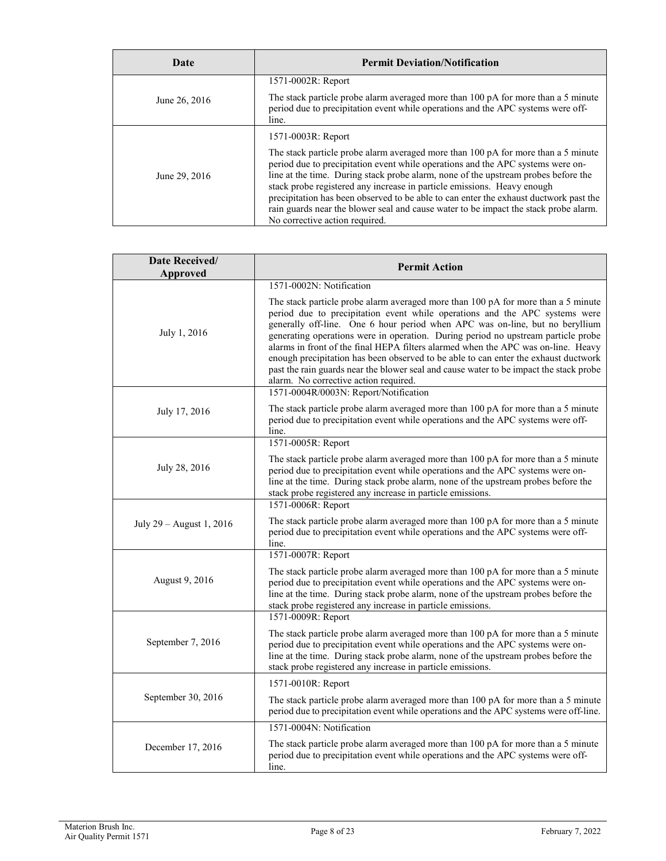| Date          | <b>Permit Deviation/Notification</b>                                                                                                                                                                                                                                                                                                                                                                                                                                                                                   |
|---------------|------------------------------------------------------------------------------------------------------------------------------------------------------------------------------------------------------------------------------------------------------------------------------------------------------------------------------------------------------------------------------------------------------------------------------------------------------------------------------------------------------------------------|
|               | 1571-0002R: Report                                                                                                                                                                                                                                                                                                                                                                                                                                                                                                     |
| June 26, 2016 | The stack particle probe alarm averaged more than 100 pA for more than a 5 minute<br>period due to precipitation event while operations and the APC systems were off-<br>line.                                                                                                                                                                                                                                                                                                                                         |
|               | 1571-0003R: Report                                                                                                                                                                                                                                                                                                                                                                                                                                                                                                     |
| June 29, 2016 | The stack particle probe alarm averaged more than 100 pA for more than a 5 minute<br>period due to precipitation event while operations and the APC systems were on-<br>line at the time. During stack probe alarm, none of the upstream probes before the<br>stack probe registered any increase in particle emissions. Heavy enough<br>precipitation has been observed to be able to can enter the exhaust ductwork past the<br>rain guards near the blower seal and cause water to be impact the stack probe alarm. |
|               | No corrective action required.                                                                                                                                                                                                                                                                                                                                                                                                                                                                                         |

| Date Received/<br>Approved | <b>Permit Action</b>                                                                                                                                                                                                                                                                                                                                                                                                                                                                                                                                                                                                                                 |
|----------------------------|------------------------------------------------------------------------------------------------------------------------------------------------------------------------------------------------------------------------------------------------------------------------------------------------------------------------------------------------------------------------------------------------------------------------------------------------------------------------------------------------------------------------------------------------------------------------------------------------------------------------------------------------------|
|                            | 1571-0002N: Notification                                                                                                                                                                                                                                                                                                                                                                                                                                                                                                                                                                                                                             |
| July 1, 2016               | The stack particle probe alarm averaged more than 100 pA for more than a 5 minute<br>period due to precipitation event while operations and the APC systems were<br>generally off-line. One 6 hour period when APC was on-line, but no beryllium<br>generating operations were in operation. During period no upstream particle probe<br>alarms in front of the final HEPA filters alarmed when the APC was on-line. Heavy<br>enough precipitation has been observed to be able to can enter the exhaust ductwork<br>past the rain guards near the blower seal and cause water to be impact the stack probe<br>alarm. No corrective action required. |
|                            | 1571-0004R/0003N: Report/Notification                                                                                                                                                                                                                                                                                                                                                                                                                                                                                                                                                                                                                |
| July 17, 2016              | The stack particle probe alarm averaged more than 100 pA for more than a 5 minute<br>period due to precipitation event while operations and the APC systems were off-<br>line.                                                                                                                                                                                                                                                                                                                                                                                                                                                                       |
|                            | 1571-0005R: Report                                                                                                                                                                                                                                                                                                                                                                                                                                                                                                                                                                                                                                   |
| July 28, 2016              | The stack particle probe alarm averaged more than 100 pA for more than a 5 minute<br>period due to precipitation event while operations and the APC systems were on-<br>line at the time. During stack probe alarm, none of the upstream probes before the<br>stack probe registered any increase in particle emissions.                                                                                                                                                                                                                                                                                                                             |
|                            | 1571-0006R: Report                                                                                                                                                                                                                                                                                                                                                                                                                                                                                                                                                                                                                                   |
| July 29 – August 1, 2016   | The stack particle probe alarm averaged more than 100 pA for more than a 5 minute<br>period due to precipitation event while operations and the APC systems were off-<br>line.                                                                                                                                                                                                                                                                                                                                                                                                                                                                       |
|                            | 1571-0007R: Report                                                                                                                                                                                                                                                                                                                                                                                                                                                                                                                                                                                                                                   |
| August 9, 2016             | The stack particle probe alarm averaged more than 100 pA for more than a 5 minute<br>period due to precipitation event while operations and the APC systems were on-<br>line at the time. During stack probe alarm, none of the upstream probes before the<br>stack probe registered any increase in particle emissions.                                                                                                                                                                                                                                                                                                                             |
|                            | 1571-0009R: Report                                                                                                                                                                                                                                                                                                                                                                                                                                                                                                                                                                                                                                   |
| September 7, 2016          | The stack particle probe alarm averaged more than 100 pA for more than a 5 minute<br>period due to precipitation event while operations and the APC systems were on-<br>line at the time. During stack probe alarm, none of the upstream probes before the<br>stack probe registered any increase in particle emissions.                                                                                                                                                                                                                                                                                                                             |
|                            | 1571-0010R: Report                                                                                                                                                                                                                                                                                                                                                                                                                                                                                                                                                                                                                                   |
| September 30, 2016         | The stack particle probe alarm averaged more than 100 pA for more than a 5 minute<br>period due to precipitation event while operations and the APC systems were off-line.                                                                                                                                                                                                                                                                                                                                                                                                                                                                           |
|                            | 1571-0004N: Notification                                                                                                                                                                                                                                                                                                                                                                                                                                                                                                                                                                                                                             |
| December 17, 2016          | The stack particle probe alarm averaged more than 100 pA for more than a 5 minute<br>period due to precipitation event while operations and the APC systems were off-<br>line.                                                                                                                                                                                                                                                                                                                                                                                                                                                                       |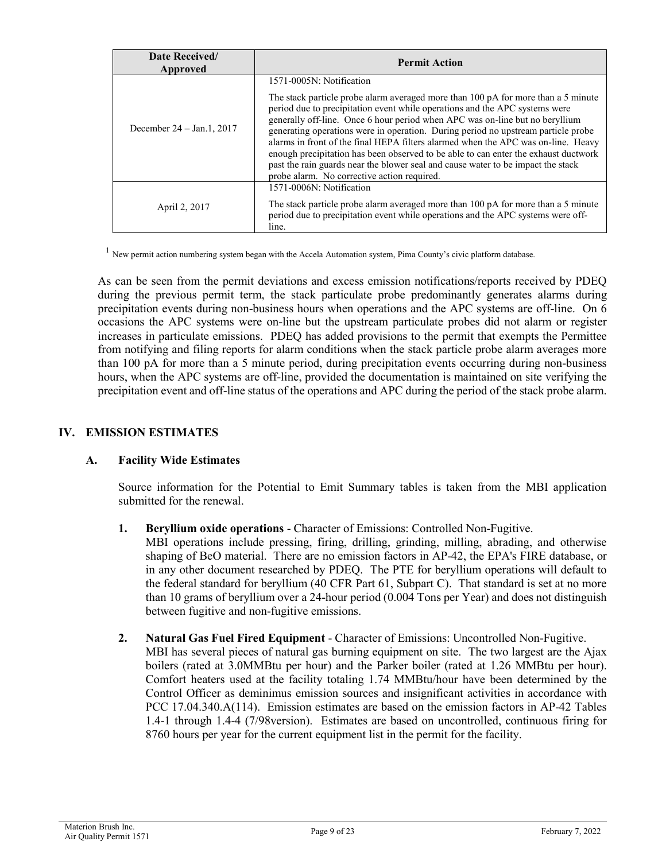| Date Received/<br>Approved     | <b>Permit Action</b>                                                                                                                                                                                                                                                                                                                                                                                                                                                                                                                                                                                                                                                             |
|--------------------------------|----------------------------------------------------------------------------------------------------------------------------------------------------------------------------------------------------------------------------------------------------------------------------------------------------------------------------------------------------------------------------------------------------------------------------------------------------------------------------------------------------------------------------------------------------------------------------------------------------------------------------------------------------------------------------------|
| December $24 - Jan.1$ , $2017$ | 1571-0005N: Notification<br>The stack particle probe alarm averaged more than 100 pA for more than a 5 minute<br>period due to precipitation event while operations and the APC systems were<br>generally off-line. Once 6 hour period when APC was on-line but no beryllium<br>generating operations were in operation. During period no upstream particle probe<br>alarms in front of the final HEPA filters alarmed when the APC was on-line. Heavy<br>enough precipitation has been observed to be able to can enter the exhaust ductwork<br>past the rain guards near the blower seal and cause water to be impact the stack<br>probe alarm. No corrective action required. |
| April 2, 2017                  | 1571-0006N: Notification<br>The stack particle probe alarm averaged more than 100 pA for more than a 5 minute<br>period due to precipitation event while operations and the APC systems were off-<br>line.                                                                                                                                                                                                                                                                                                                                                                                                                                                                       |

 $1$  New permit action numbering system began with the Accela Automation system, Pima County's civic platform database.

As can be seen from the permit deviations and excess emission notifications/reports received by PDEQ during the previous permit term, the stack particulate probe predominantly generates alarms during precipitation events during non-business hours when operations and the APC systems are off-line. On 6 occasions the APC systems were on-line but the upstream particulate probes did not alarm or register increases in particulate emissions. PDEQ has added provisions to the permit that exempts the Permittee from notifying and filing reports for alarm conditions when the stack particle probe alarm averages more than 100 pA for more than a 5 minute period, during precipitation events occurring during non-business hours, when the APC systems are off-line, provided the documentation is maintained on site verifying the precipitation event and off-line status of the operations and APC during the period of the stack probe alarm.

## **IV. EMISSION ESTIMATES**

## **A. Facility Wide Estimates**

Source information for the Potential to Emit Summary tables is taken from the MBI application submitted for the renewal.

**1. Beryllium oxide operations** - Character of Emissions: Controlled Non-Fugitive.

MBI operations include pressing, firing, drilling, grinding, milling, abrading, and otherwise shaping of BeO material. There are no emission factors in AP-42, the EPA's FIRE database, or in any other document researched by PDEQ. The PTE for beryllium operations will default to the federal standard for beryllium (40 CFR Part 61, Subpart C). That standard is set at no more than 10 grams of beryllium over a 24-hour period (0.004 Tons per Year) and does not distinguish between fugitive and non-fugitive emissions.

**2. Natural Gas Fuel Fired Equipment** - Character of Emissions: Uncontrolled Non-Fugitive. MBI has several pieces of natural gas burning equipment on site. The two largest are the Ajax boilers (rated at 3.0MMBtu per hour) and the Parker boiler (rated at 1.26 MMBtu per hour). Comfort heaters used at the facility totaling 1.74 MMBtu/hour have been determined by the Control Officer as deminimus emission sources and insignificant activities in accordance with PCC 17.04.340.A(114). Emission estimates are based on the emission factors in AP-42 Tables 1.4-1 through 1.4-4 (7/98version). Estimates are based on uncontrolled, continuous firing for 8760 hours per year for the current equipment list in the permit for the facility.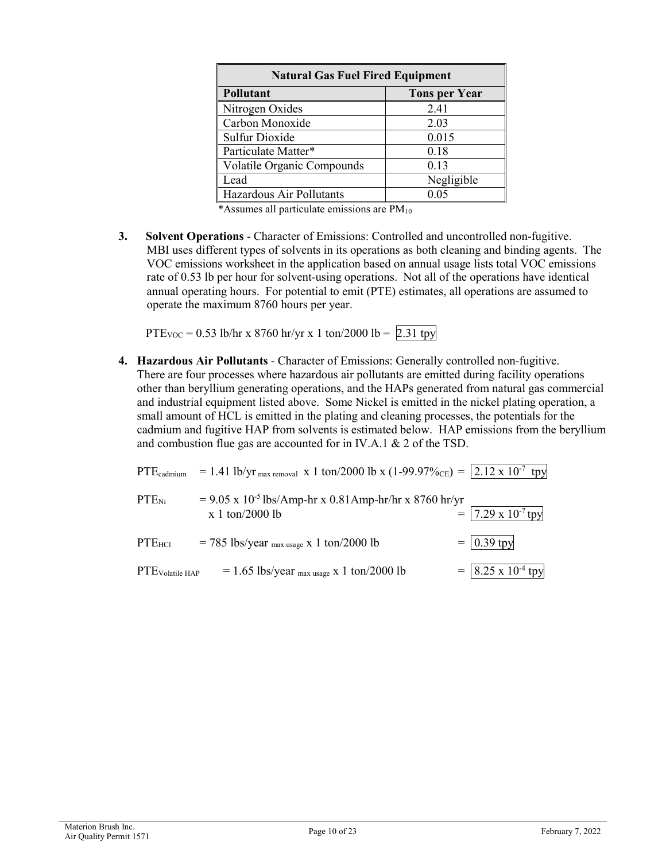| <b>Natural Gas Fuel Fired Equipment</b> |                      |
|-----------------------------------------|----------------------|
| Pollutant                               | <b>Tons per Year</b> |
| Nitrogen Oxides                         | 2.41                 |
| Carbon Monoxide                         | 2.03                 |
| <b>Sulfur Dioxide</b>                   | 0.015                |
| Particulate Matter*                     | 0.18                 |
| Volatile Organic Compounds              | 0.13                 |
| Lead                                    | Negligible           |
| Hazardous Air Pollutants                | 0.05                 |

\*Assumes all particulate emissions are  $PM_{10}$ 

**3. Solvent Operations** - Character of Emissions: Controlled and uncontrolled non-fugitive. MBI uses different types of solvents in its operations as both cleaning and binding agents. The VOC emissions worksheet in the application based on annual usage lists total VOC emissions rate of 0.53 lb per hour for solvent-using operations. Not all of the operations have identical annual operating hours. For potential to emit (PTE) estimates, all operations are assumed to operate the maximum 8760 hours per year.

PTE<sub>VOC</sub> = 0.53 lb/hr x 8760 hr/yr x 1 ton/2000 lb = 2.31 tpy

**4. Hazardous Air Pollutants** - Character of Emissions: Generally controlled non-fugitive. There are four processes where hazardous air pollutants are emitted during facility operations other than beryllium generating operations, and the HAPs generated from natural gas commercial and industrial equipment listed above. Some Nickel is emitted in the nickel plating operation, a small amount of HCL is emitted in the plating and cleaning processes, the potentials for the cadmium and fugitive HAP from solvents is estimated below. HAP emissions from the beryllium and combustion flue gas are accounted for in IV.A.1 & 2 of the TSD.

| $PTE_{\text{cadmium}}$      | = 1.41 lb/yr <sub>max removal</sub> x 1 ton/2000 lb x (1-99.97% <sub>CE</sub> ) = $\vert$ 2.12 x 10 <sup>-7</sup> tpy |                                   |
|-----------------------------|-----------------------------------------------------------------------------------------------------------------------|-----------------------------------|
| $PTE_{Ni}$                  | $= 9.05$ x 10 <sup>-5</sup> lbs/Amp-hr x 0.81Amp-hr/hr x 8760 hr/yr<br>$x 1$ ton/2000 lb                              | $=$   7.29 x 10 <sup>-7</sup> tpy |
| $PTE_{HC1}$                 | $= 785$ lbs/year <sub>max usage</sub> x 1 ton/2000 lb                                                                 | $= 0.39$ tpy                      |
| PTE <sub>Volatile</sub> HAP | $= 1.65$ lbs/year <sub>max usage</sub> x 1 ton/2000 lb                                                                | $=$ 8.25 x 10 <sup>-4</sup> tpy   |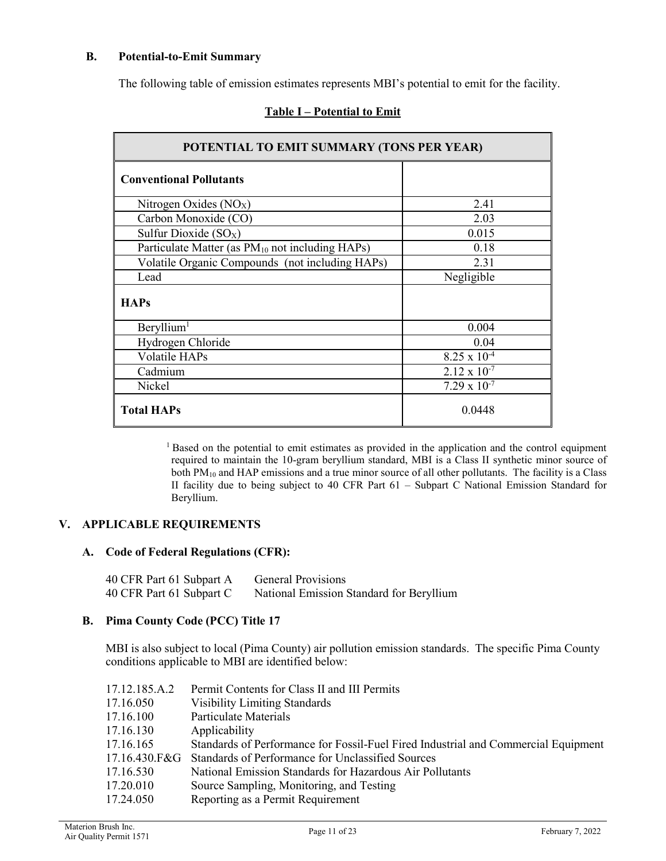## **B. Potential-to-Emit Summary**

The following table of emission estimates represents MBI's potential to emit for the facility.

| POTENTIAL TO EMIT SUMMARY (TONS PER YEAR)                   |                       |
|-------------------------------------------------------------|-----------------------|
| <b>Conventional Pollutants</b>                              |                       |
| Nitrogen Oxides (NO <sub>X</sub> )                          | 2.41                  |
| Carbon Monoxide (CO)                                        | 2.03                  |
| Sulfur Dioxide $(SO_X)$                                     | 0.015                 |
| Particulate Matter (as PM <sub>10</sub> not including HAPs) | 0.18                  |
| Volatile Organic Compounds (not including HAPs)             | 2.31                  |
| Lead                                                        | Negligible            |
| <b>HAPs</b>                                                 |                       |
| Beryllium <sup>1</sup>                                      | 0.004                 |
| Hydrogen Chloride                                           | 0.04                  |
| Volatile HAPs                                               | $8.25 \times 10^{-4}$ |
| Cadmium                                                     | $2.12 \times 10^{-7}$ |
| Nickel                                                      | $7.29 \times 10^{-7}$ |
| <b>Total HAPs</b>                                           | 0.0448                |

## **Table I – Potential to Emit**

<sup>1</sup> Based on the potential to emit estimates as provided in the application and the control equipment required to maintain the 10-gram beryllium standard, MBI is a Class II synthetic minor source of both PM<sub>10</sub> and HAP emissions and a true minor source of all other pollutants. The facility is a Class II facility due to being subject to 40 CFR Part 61 – Subpart C National Emission Standard for Beryllium.

## **V. APPLICABLE REQUIREMENTS**

### **A. Code of Federal Regulations (CFR):**

| 40 CFR Part 61 Subpart A | General Provisions                       |
|--------------------------|------------------------------------------|
| 40 CFR Part 61 Subpart C | National Emission Standard for Beryllium |

## **B. Pima County Code (PCC) Title 17**

MBI is also subject to local (Pima County) air pollution emission standards. The specific Pima County conditions applicable to MBI are identified below:

| 17.12.185.A.2 | Permit Contents for Class II and III Permits                                       |
|---------------|------------------------------------------------------------------------------------|
| 17.16.050     | <b>Visibility Limiting Standards</b>                                               |
| 17.16.100     | Particulate Materials                                                              |
| 17.16.130     | Applicability                                                                      |
| 17.16.165     | Standards of Performance for Fossil-Fuel Fired Industrial and Commercial Equipment |
| 17.16.430.F&G | Standards of Performance for Unclassified Sources                                  |
| 17.16.530     | National Emission Standards for Hazardous Air Pollutants                           |
| 17.20.010     | Source Sampling, Monitoring, and Testing                                           |
| 17.24.050     | Reporting as a Permit Requirement                                                  |
|               |                                                                                    |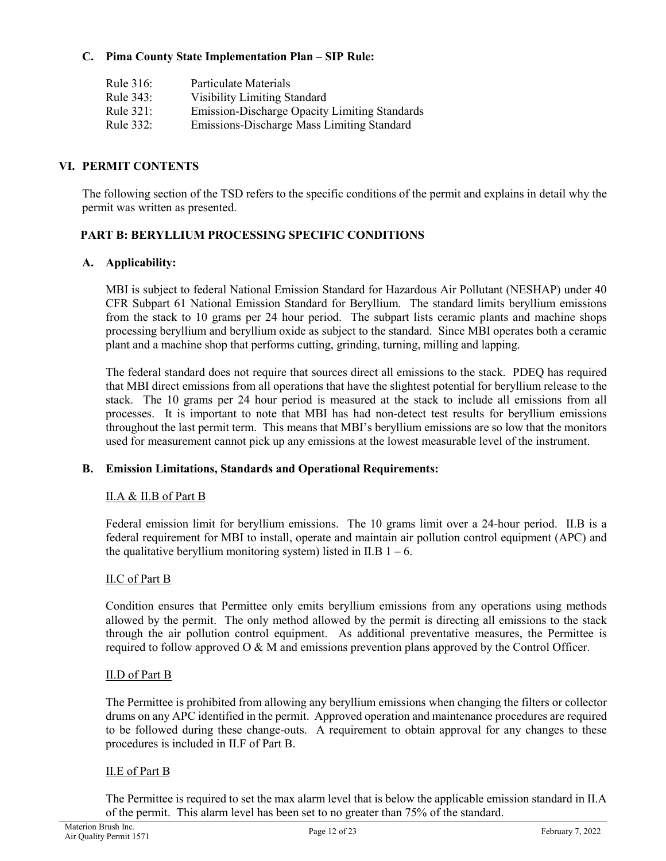## **C. Pima County State Implementation Plan – SIP Rule:**

| Rule 316: | Particulate Materials                                |
|-----------|------------------------------------------------------|
| Rule 343: | <b>Visibility Limiting Standard</b>                  |
| Rule 321: | <b>Emission-Discharge Opacity Limiting Standards</b> |
| Rule 332: | Emissions-Discharge Mass Limiting Standard           |

## **VI. PERMIT CONTENTS**

The following section of the TSD refers to the specific conditions of the permit and explains in detail why the permit was written as presented.

# **PART B: BERYLLIUM PROCESSING SPECIFIC CONDITIONS**

## **A. Applicability:**

MBI is subject to federal National Emission Standard for Hazardous Air Pollutant (NESHAP) under 40 CFR Subpart 61 National Emission Standard for Beryllium. The standard limits beryllium emissions from the stack to 10 grams per 24 hour period. The subpart lists ceramic plants and machine shops processing beryllium and beryllium oxide as subject to the standard. Since MBI operates both a ceramic plant and a machine shop that performs cutting, grinding, turning, milling and lapping.

The federal standard does not require that sources direct all emissions to the stack. PDEQ has required that MBI direct emissions from all operations that have the slightest potential for beryllium release to the stack. The 10 grams per 24 hour period is measured at the stack to include all emissions from all processes. It is important to note that MBI has had non-detect test results for beryllium emissions throughout the last permit term. This means that MBI's beryllium emissions are so low that the monitors used for measurement cannot pick up any emissions at the lowest measurable level of the instrument.

## **B. Emission Limitations, Standards and Operational Requirements:**

## II.A & II.B of Part B

Federal emission limit for beryllium emissions. The 10 grams limit over a 24-hour period. II.B is a federal requirement for MBI to install, operate and maintain air pollution control equipment (APC) and the qualitative beryllium monitoring system) listed in II.B  $1 - 6$ .

## II.C of Part B

Condition ensures that Permittee only emits beryllium emissions from any operations using methods allowed by the permit. The only method allowed by the permit is directing all emissions to the stack through the air pollution control equipment. As additional preventative measures, the Permittee is required to follow approved O & M and emissions prevention plans approved by the Control Officer.

## II.D of Part B

The Permittee is prohibited from allowing any beryllium emissions when changing the filters or collector drums on any APC identified in the permit. Approved operation and maintenance procedures are required to be followed during these change-outs. A requirement to obtain approval for any changes to these procedures is included in II.F of Part B.

## II.E of Part B

The Permittee is required to set the max alarm level that is below the applicable emission standard in II.A of the permit. This alarm level has been set to no greater than 75% of the standard.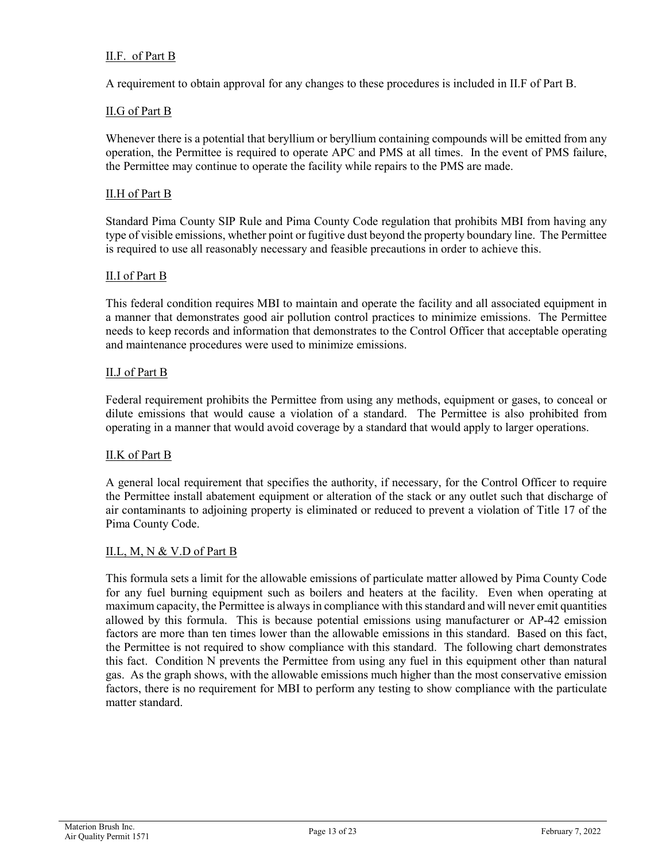## II.F. of Part B

A requirement to obtain approval for any changes to these procedures is included in II.F of Part B.

### II.G of Part B

Whenever there is a potential that beryllium or beryllium containing compounds will be emitted from any operation, the Permittee is required to operate APC and PMS at all times. In the event of PMS failure, the Permittee may continue to operate the facility while repairs to the PMS are made.

### II.H of Part B

Standard Pima County SIP Rule and Pima County Code regulation that prohibits MBI from having any type of visible emissions, whether point or fugitive dust beyond the property boundary line. The Permittee is required to use all reasonably necessary and feasible precautions in order to achieve this.

### II.I of Part B

This federal condition requires MBI to maintain and operate the facility and all associated equipment in a manner that demonstrates good air pollution control practices to minimize emissions. The Permittee needs to keep records and information that demonstrates to the Control Officer that acceptable operating and maintenance procedures were used to minimize emissions.

#### II.J of Part B

Federal requirement prohibits the Permittee from using any methods, equipment or gases, to conceal or dilute emissions that would cause a violation of a standard. The Permittee is also prohibited from operating in a manner that would avoid coverage by a standard that would apply to larger operations.

### II.K of Part B

A general local requirement that specifies the authority, if necessary, for the Control Officer to require the Permittee install abatement equipment or alteration of the stack or any outlet such that discharge of air contaminants to adjoining property is eliminated or reduced to prevent a violation of Title 17 of the Pima County Code.

#### II.L, M, N & V.D of Part B

This formula sets a limit for the allowable emissions of particulate matter allowed by Pima County Code for any fuel burning equipment such as boilers and heaters at the facility. Even when operating at maximum capacity, the Permittee is always in compliance with this standard and will never emit quantities allowed by this formula. This is because potential emissions using manufacturer or AP-42 emission factors are more than ten times lower than the allowable emissions in this standard. Based on this fact, the Permittee is not required to show compliance with this standard. The following chart demonstrates this fact. Condition N prevents the Permittee from using any fuel in this equipment other than natural gas. As the graph shows, with the allowable emissions much higher than the most conservative emission factors, there is no requirement for MBI to perform any testing to show compliance with the particulate matter standard.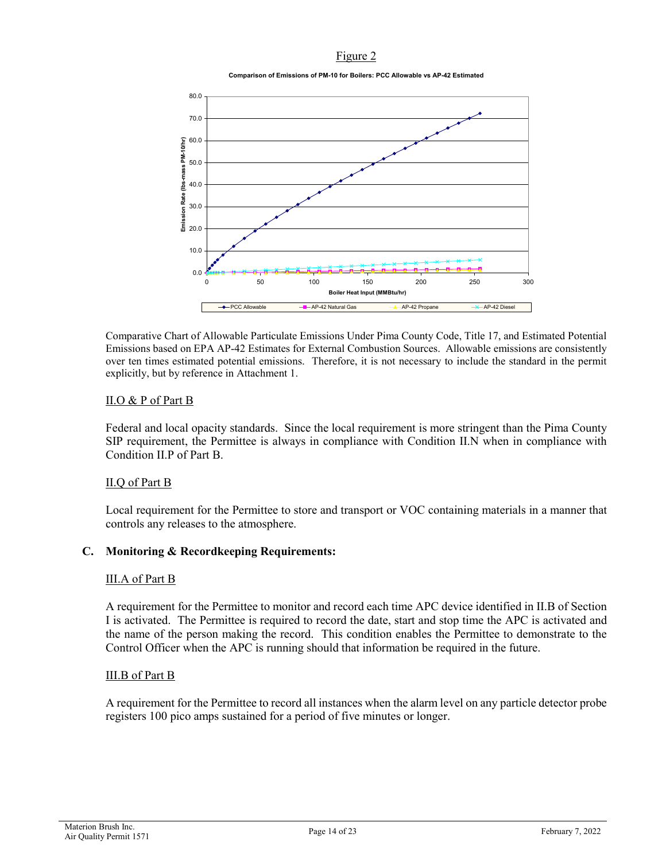## Figure 2

**Comparison of Emissions of PM-10 for Boilers: PCC Allowable vs AP-42 Estimated**



Comparative Chart of Allowable Particulate Emissions Under Pima County Code, Title 17, and Estimated Potential Emissions based on EPA AP-42 Estimates for External Combustion Sources. Allowable emissions are consistently over ten times estimated potential emissions. Therefore, it is not necessary to include the standard in the permit explicitly, but by reference in Attachment 1.

## II.O & P of Part B

Federal and local opacity standards. Since the local requirement is more stringent than the Pima County SIP requirement, the Permittee is always in compliance with Condition II.N when in compliance with Condition II.P of Part B.

### II.Q of Part B

Local requirement for the Permittee to store and transport or VOC containing materials in a manner that controls any releases to the atmosphere.

### **C. Monitoring & Recordkeeping Requirements:**

### III.A of Part B

A requirement for the Permittee to monitor and record each time APC device identified in II.B of Section I is activated. The Permittee is required to record the date, start and stop time the APC is activated and the name of the person making the record. This condition enables the Permittee to demonstrate to the Control Officer when the APC is running should that information be required in the future.

## III.B of Part B

A requirement for the Permittee to record all instances when the alarm level on any particle detector probe registers 100 pico amps sustained for a period of five minutes or longer.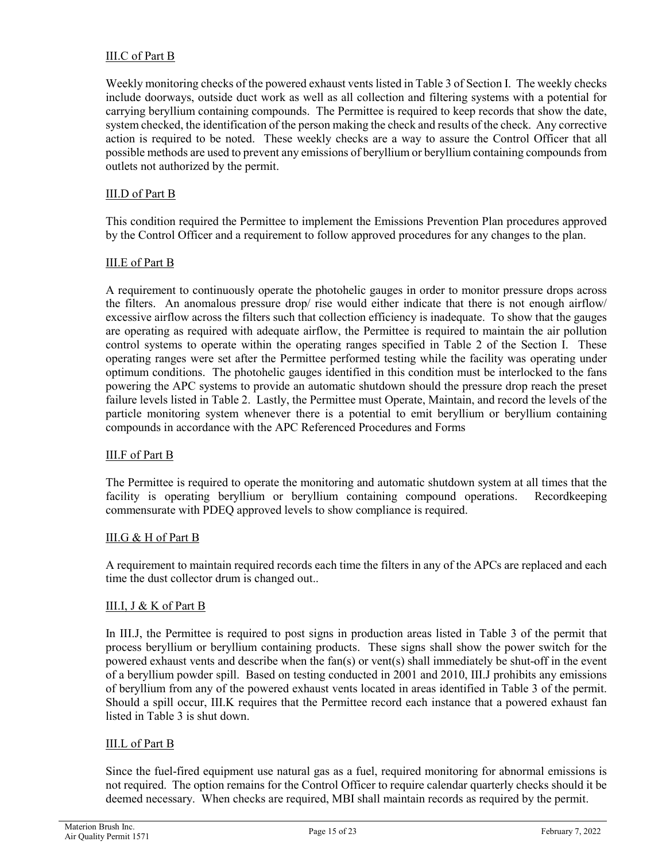## III.C of Part B

Weekly monitoring checks of the powered exhaust vents listed in Table 3 of Section I. The weekly checks include doorways, outside duct work as well as all collection and filtering systems with a potential for carrying beryllium containing compounds. The Permittee is required to keep records that show the date, system checked, the identification of the person making the check and results of the check. Any corrective action is required to be noted. These weekly checks are a way to assure the Control Officer that all possible methods are used to prevent any emissions of beryllium or beryllium containing compounds from outlets not authorized by the permit.

## III.D of Part B

This condition required the Permittee to implement the Emissions Prevention Plan procedures approved by the Control Officer and a requirement to follow approved procedures for any changes to the plan.

### III.E of Part B

A requirement to continuously operate the photohelic gauges in order to monitor pressure drops across the filters. An anomalous pressure drop/ rise would either indicate that there is not enough airflow/ excessive airflow across the filters such that collection efficiency is inadequate. To show that the gauges are operating as required with adequate airflow, the Permittee is required to maintain the air pollution control systems to operate within the operating ranges specified in Table 2 of the Section I. These operating ranges were set after the Permittee performed testing while the facility was operating under optimum conditions. The photohelic gauges identified in this condition must be interlocked to the fans powering the APC systems to provide an automatic shutdown should the pressure drop reach the preset failure levels listed in Table 2. Lastly, the Permittee must Operate, Maintain, and record the levels of the particle monitoring system whenever there is a potential to emit beryllium or beryllium containing compounds in accordance with the APC Referenced Procedures and Forms

### III.F of Part B

The Permittee is required to operate the monitoring and automatic shutdown system at all times that the facility is operating beryllium or beryllium containing compound operations. Recordkeeping commensurate with PDEQ approved levels to show compliance is required.

### III.G & H of Part B

A requirement to maintain required records each time the filters in any of the APCs are replaced and each time the dust collector drum is changed out..

### III.I, J & K of Part B

In III.J, the Permittee is required to post signs in production areas listed in Table 3 of the permit that process beryllium or beryllium containing products. These signs shall show the power switch for the powered exhaust vents and describe when the fan(s) or vent(s) shall immediately be shut-off in the event of a beryllium powder spill. Based on testing conducted in 2001 and 2010, III.J prohibits any emissions of beryllium from any of the powered exhaust vents located in areas identified in Table 3 of the permit. Should a spill occur, III.K requires that the Permittee record each instance that a powered exhaust fan listed in Table 3 is shut down.

### III.L of Part B

Since the fuel-fired equipment use natural gas as a fuel, required monitoring for abnormal emissions is not required. The option remains for the Control Officer to require calendar quarterly checks should it be deemed necessary. When checks are required, MBI shall maintain records as required by the permit.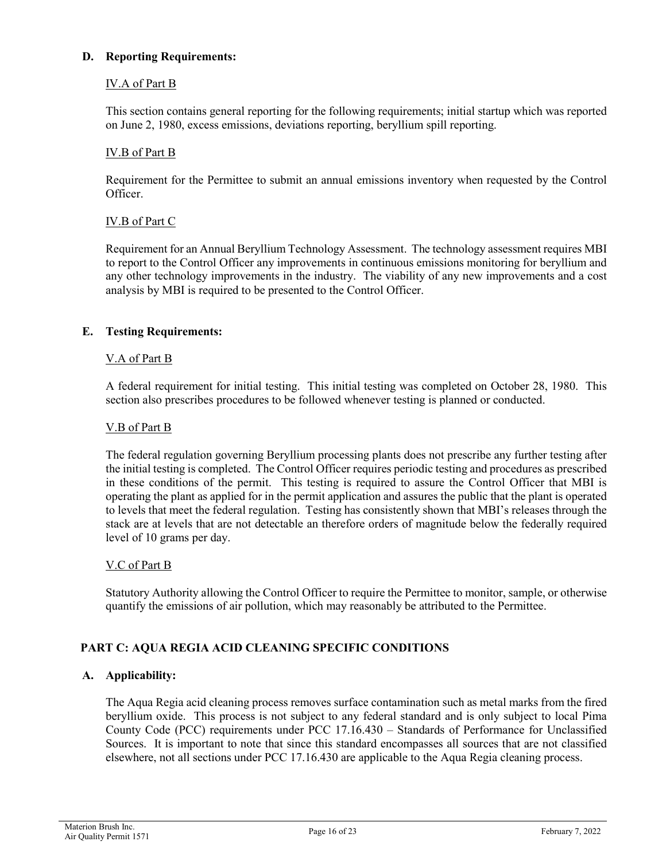## **D. Reporting Requirements:**

## IV.A of Part B

This section contains general reporting for the following requirements; initial startup which was reported on June 2, 1980, excess emissions, deviations reporting, beryllium spill reporting.

## IV.B of Part B

Requirement for the Permittee to submit an annual emissions inventory when requested by the Control Officer.

## IV.B of Part C

Requirement for an Annual Beryllium Technology Assessment. The technology assessment requires MBI to report to the Control Officer any improvements in continuous emissions monitoring for beryllium and any other technology improvements in the industry. The viability of any new improvements and a cost analysis by MBI is required to be presented to the Control Officer.

## **E. Testing Requirements:**

### V.A of Part B

A federal requirement for initial testing. This initial testing was completed on October 28, 1980. This section also prescribes procedures to be followed whenever testing is planned or conducted.

### V.B of Part B

The federal regulation governing Beryllium processing plants does not prescribe any further testing after the initial testing is completed. The Control Officer requires periodic testing and procedures as prescribed in these conditions of the permit. This testing is required to assure the Control Officer that MBI is operating the plant as applied for in the permit application and assures the public that the plant is operated to levels that meet the federal regulation. Testing has consistently shown that MBI's releases through the stack are at levels that are not detectable an therefore orders of magnitude below the federally required level of 10 grams per day.

### V.C of Part B

Statutory Authority allowing the Control Officer to require the Permittee to monitor, sample, or otherwise quantify the emissions of air pollution, which may reasonably be attributed to the Permittee.

### **PART C: AQUA REGIA ACID CLEANING SPECIFIC CONDITIONS**

## **A. Applicability:**

The Aqua Regia acid cleaning process removes surface contamination such as metal marks from the fired beryllium oxide. This process is not subject to any federal standard and is only subject to local Pima County Code (PCC) requirements under PCC 17.16.430 – Standards of Performance for Unclassified Sources. It is important to note that since this standard encompasses all sources that are not classified elsewhere, not all sections under PCC 17.16.430 are applicable to the Aqua Regia cleaning process.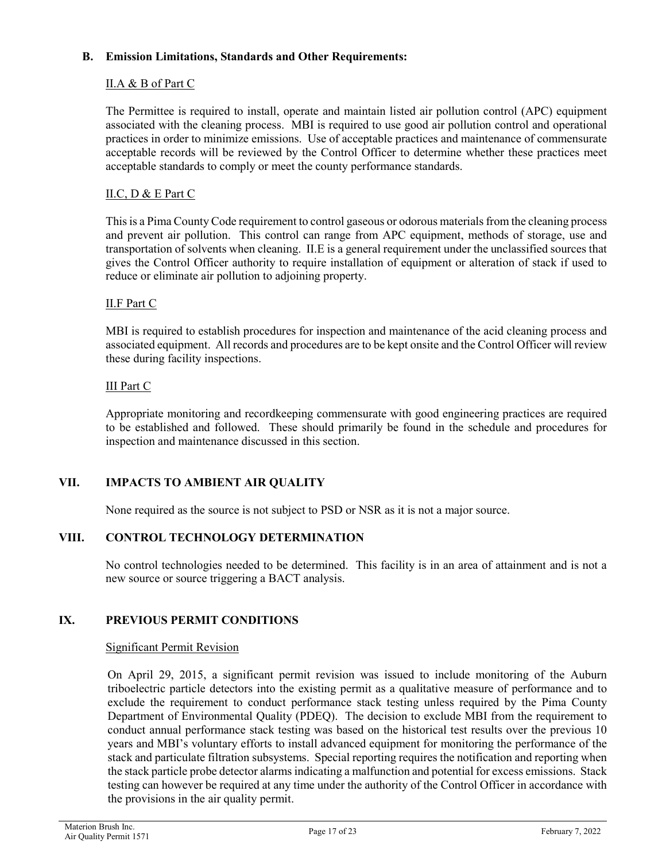## **B. Emission Limitations, Standards and Other Requirements:**

## II.A & B of Part C

The Permittee is required to install, operate and maintain listed air pollution control (APC) equipment associated with the cleaning process. MBI is required to use good air pollution control and operational practices in order to minimize emissions. Use of acceptable practices and maintenance of commensurate acceptable records will be reviewed by the Control Officer to determine whether these practices meet acceptable standards to comply or meet the county performance standards.

## II.C, D & E Part C

This is a Pima County Code requirement to control gaseous or odorous materials from the cleaning process and prevent air pollution. This control can range from APC equipment, methods of storage, use and transportation of solvents when cleaning. II.E is a general requirement under the unclassified sources that gives the Control Officer authority to require installation of equipment or alteration of stack if used to reduce or eliminate air pollution to adjoining property.

## II.F Part C

MBI is required to establish procedures for inspection and maintenance of the acid cleaning process and associated equipment. All records and procedures are to be kept onsite and the Control Officer will review these during facility inspections.

## III Part C

Appropriate monitoring and recordkeeping commensurate with good engineering practices are required to be established and followed. These should primarily be found in the schedule and procedures for inspection and maintenance discussed in this section.

## **VII. IMPACTS TO AMBIENT AIR QUALITY**

None required as the source is not subject to PSD or NSR as it is not a major source.

## **VIII. CONTROL TECHNOLOGY DETERMINATION**

No control technologies needed to be determined. This facility is in an area of attainment and is not a new source or source triggering a BACT analysis.

## **IX. PREVIOUS PERMIT CONDITIONS**

### Significant Permit Revision

On April 29, 2015, a significant permit revision was issued to include monitoring of the Auburn triboelectric particle detectors into the existing permit as a qualitative measure of performance and to exclude the requirement to conduct performance stack testing unless required by the Pima County Department of Environmental Quality (PDEQ). The decision to exclude MBI from the requirement to conduct annual performance stack testing was based on the historical test results over the previous 10 years and MBI's voluntary efforts to install advanced equipment for monitoring the performance of the stack and particulate filtration subsystems. Special reporting requires the notification and reporting when the stack particle probe detector alarms indicating a malfunction and potential for excess emissions. Stack testing can however be required at any time under the authority of the Control Officer in accordance with the provisions in the air quality permit.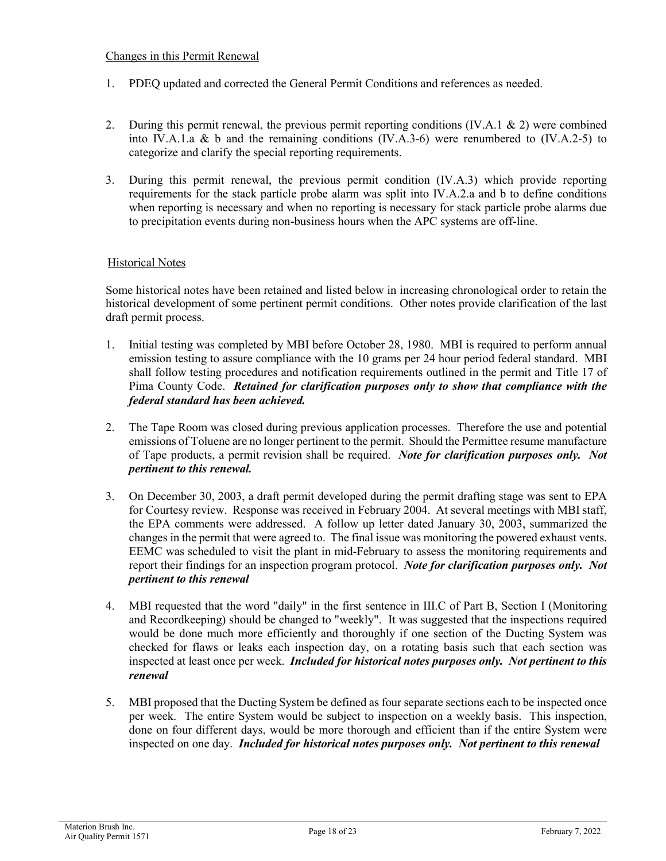## Changes in this Permit Renewal

- 1. PDEQ updated and corrected the General Permit Conditions and references as needed.
- 2. During this permit renewal, the previous permit reporting conditions (IV.A.1 & 2) were combined into IV.A.1.a & b and the remaining conditions (IV.A.3-6) were renumbered to (IV.A.2-5) to categorize and clarify the special reporting requirements.
- 3. During this permit renewal, the previous permit condition (IV.A.3) which provide reporting requirements for the stack particle probe alarm was split into IV.A.2.a and b to define conditions when reporting is necessary and when no reporting is necessary for stack particle probe alarms due to precipitation events during non-business hours when the APC systems are off-line.

## Historical Notes

Some historical notes have been retained and listed below in increasing chronological order to retain the historical development of some pertinent permit conditions. Other notes provide clarification of the last draft permit process.

- 1. Initial testing was completed by MBI before October 28, 1980. MBI is required to perform annual emission testing to assure compliance with the 10 grams per 24 hour period federal standard. MBI shall follow testing procedures and notification requirements outlined in the permit and Title 17 of Pima County Code. *Retained for clarification purposes only to show that compliance with the federal standard has been achieved.*
- 2. The Tape Room was closed during previous application processes. Therefore the use and potential emissions of Toluene are no longer pertinent to the permit. Should the Permittee resume manufacture of Tape products, a permit revision shall be required. *Note for clarification purposes only. Not pertinent to this renewal.*
- 3. On December 30, 2003, a draft permit developed during the permit drafting stage was sent to EPA for Courtesy review. Response was received in February 2004. At several meetings with MBI staff, the EPA comments were addressed. A follow up letter dated January 30, 2003, summarized the changes in the permit that were agreed to. The final issue was monitoring the powered exhaust vents. EEMC was scheduled to visit the plant in mid-February to assess the monitoring requirements and report their findings for an inspection program protocol. *Note for clarification purposes only. Not pertinent to this renewal*
- 4. MBI requested that the word "daily" in the first sentence in III.C of Part B, Section I (Monitoring and Recordkeeping) should be changed to "weekly". It was suggested that the inspections required would be done much more efficiently and thoroughly if one section of the Ducting System was checked for flaws or leaks each inspection day, on a rotating basis such that each section was inspected at least once per week. *Included for historical notes purposes only. Not pertinent to this renewal*
- 5. MBI proposed that the Ducting System be defined as four separate sections each to be inspected once per week. The entire System would be subject to inspection on a weekly basis. This inspection, done on four different days, would be more thorough and efficient than if the entire System were inspected on one day. *Included for historical notes purposes only. Not pertinent to this renewal*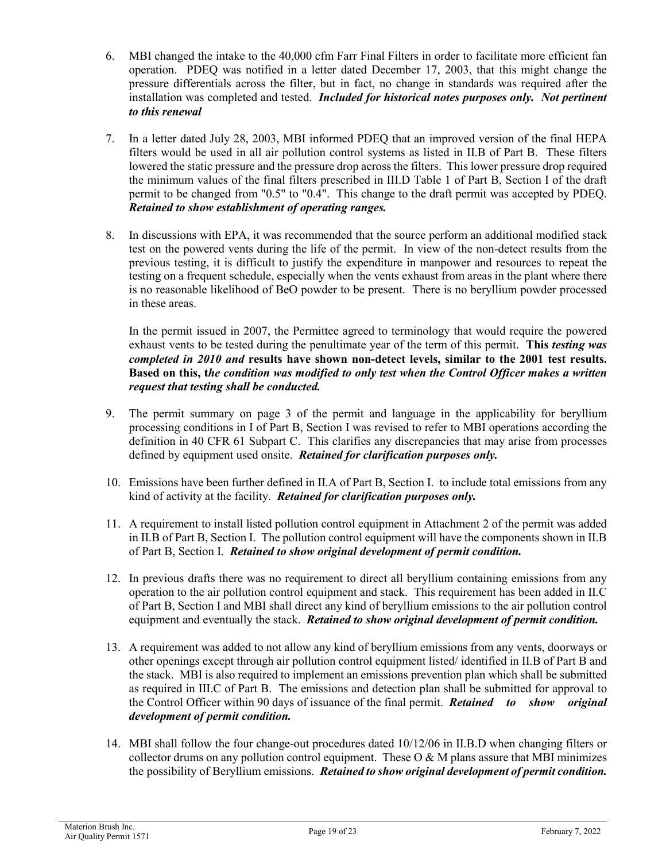- 6. MBI changed the intake to the 40,000 cfm Farr Final Filters in order to facilitate more efficient fan operation. PDEQ was notified in a letter dated December 17, 2003, that this might change the pressure differentials across the filter, but in fact, no change in standards was required after the installation was completed and tested. *Included for historical notes purposes only. Not pertinent to this renewal*
- 7. In a letter dated July 28, 2003, MBI informed PDEQ that an improved version of the final HEPA filters would be used in all air pollution control systems as listed in II.B of Part B. These filters lowered the static pressure and the pressure drop across the filters. This lower pressure drop required the minimum values of the final filters prescribed in III.D Table 1 of Part B, Section I of the draft permit to be changed from "0.5" to "0.4". This change to the draft permit was accepted by PDEQ. *Retained to show establishment of operating ranges.*
- 8. In discussions with EPA, it was recommended that the source perform an additional modified stack test on the powered vents during the life of the permit. In view of the non-detect results from the previous testing, it is difficult to justify the expenditure in manpower and resources to repeat the testing on a frequent schedule, especially when the vents exhaust from areas in the plant where there is no reasonable likelihood of BeO powder to be present. There is no beryllium powder processed in these areas.

In the permit issued in 2007, the Permittee agreed to terminology that would require the powered exhaust vents to be tested during the penultimate year of the term of this permit. **This** *testing was completed in 2010 and* **results have shown non-detect levels, similar to the 2001 test results. Based on this, t***he condition was modified to only test when the Control Officer makes a written request that testing shall be conducted.*

- 9. The permit summary on page 3 of the permit and language in the applicability for beryllium processing conditions in I of Part B, Section I was revised to refer to MBI operations according the definition in 40 CFR 61 Subpart C. This clarifies any discrepancies that may arise from processes defined by equipment used onsite. *Retained for clarification purposes only.*
- 10. Emissions have been further defined in II.A of Part B, Section I. to include total emissions from any kind of activity at the facility. *Retained for clarification purposes only.*
- 11. A requirement to install listed pollution control equipment in Attachment 2 of the permit was added in II.B of Part B, Section I. The pollution control equipment will have the components shown in II.B of Part B, Section I. *Retained to show original development of permit condition.*
- 12. In previous drafts there was no requirement to direct all beryllium containing emissions from any operation to the air pollution control equipment and stack. This requirement has been added in II.C of Part B, Section I and MBI shall direct any kind of beryllium emissions to the air pollution control equipment and eventually the stack. *Retained to show original development of permit condition.*
- 13. A requirement was added to not allow any kind of beryllium emissions from any vents, doorways or other openings except through air pollution control equipment listed/ identified in II.B of Part B and the stack. MBI is also required to implement an emissions prevention plan which shall be submitted as required in III.C of Part B. The emissions and detection plan shall be submitted for approval to the Control Officer within 90 days of issuance of the final permit. *Retained to show original development of permit condition.*
- 14. MBI shall follow the four change-out procedures dated 10/12/06 in II.B.D when changing filters or collector drums on any pollution control equipment. These  $O & M$  plans assure that MBI minimizes the possibility of Beryllium emissions. *Retained to show original development of permit condition.*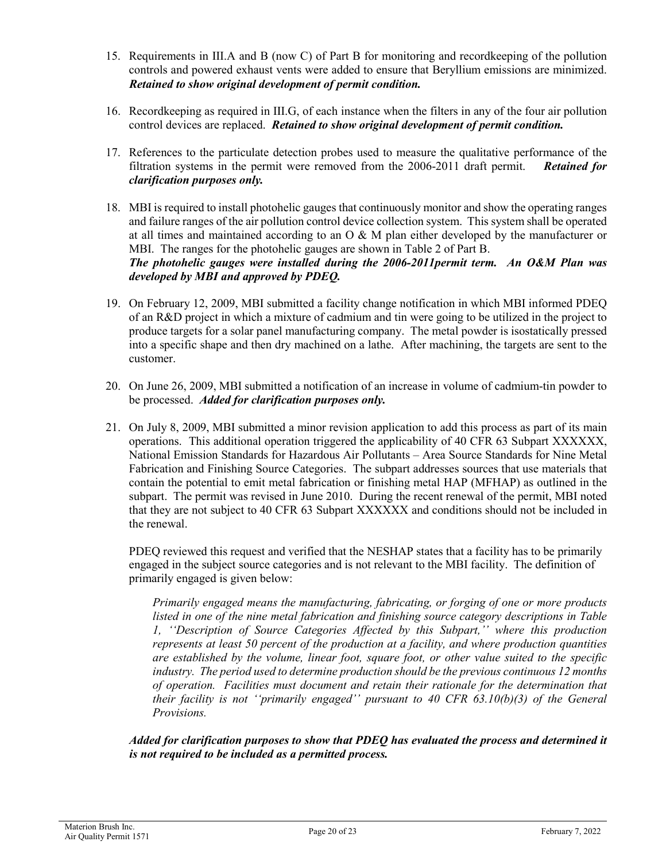- 15. Requirements in III.A and B (now C) of Part B for monitoring and recordkeeping of the pollution controls and powered exhaust vents were added to ensure that Beryllium emissions are minimized. *Retained to show original development of permit condition.*
- 16. Recordkeeping as required in III.G, of each instance when the filters in any of the four air pollution control devices are replaced. *Retained to show original development of permit condition.*
- 17. References to the particulate detection probes used to measure the qualitative performance of the filtration systems in the permit were removed from the 2006-2011 draft permit. *Retained for clarification purposes only.*
- 18. MBI is required to install photohelic gauges that continuously monitor and show the operating ranges and failure ranges of the air pollution control device collection system. This system shall be operated at all times and maintained according to an  $\overline{O} \& M$  plan either developed by the manufacturer or MBI. The ranges for the photohelic gauges are shown in Table 2 of Part B. *The photohelic gauges were installed during the 2006-2011permit term. An O&M Plan was developed by MBI and approved by PDEQ.*
- 19. On February 12, 2009, MBI submitted a facility change notification in which MBI informed PDEQ of an R&D project in which a mixture of cadmium and tin were going to be utilized in the project to produce targets for a solar panel manufacturing company. The metal powder is isostatically pressed into a specific shape and then dry machined on a lathe. After machining, the targets are sent to the customer.
- 20. On June 26, 2009, MBI submitted a notification of an increase in volume of cadmium-tin powder to be processed. *Added for clarification purposes only.*
- 21. On July 8, 2009, MBI submitted a minor revision application to add this process as part of its main operations. This additional operation triggered the applicability of 40 CFR 63 Subpart XXXXXX, National Emission Standards for Hazardous Air Pollutants – Area Source Standards for Nine Metal Fabrication and Finishing Source Categories. The subpart addresses sources that use materials that contain the potential to emit metal fabrication or finishing metal HAP (MFHAP) as outlined in the subpart. The permit was revised in June 2010. During the recent renewal of the permit, MBI noted that they are not subject to 40 CFR 63 Subpart XXXXXX and conditions should not be included in the renewal.

PDEQ reviewed this request and verified that the NESHAP states that a facility has to be primarily engaged in the subject source categories and is not relevant to the MBI facility. The definition of primarily engaged is given below:

*Primarily engaged means the manufacturing, fabricating, or forging of one or more products listed in one of the nine metal fabrication and finishing source category descriptions in Table 1, ''Description of Source Categories Affected by this Subpart,'' where this production represents at least 50 percent of the production at a facility, and where production quantities are established by the volume, linear foot, square foot, or other value suited to the specific industry. The period used to determine production should be the previous continuous 12 months of operation. Facilities must document and retain their rationale for the determination that their facility is not ''primarily engaged'' pursuant to 40 CFR 63.10(b)(3) of the General Provisions.*

*Added for clarification purposes to show that PDEQ has evaluated the process and determined it is not required to be included as a permitted process.*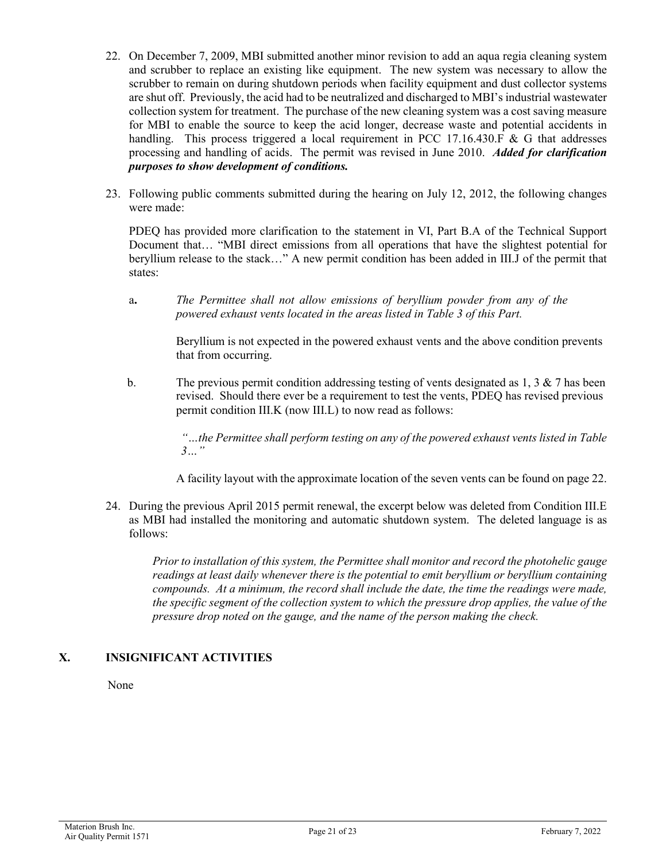- 22. On December 7, 2009, MBI submitted another minor revision to add an aqua regia cleaning system and scrubber to replace an existing like equipment. The new system was necessary to allow the scrubber to remain on during shutdown periods when facility equipment and dust collector systems are shut off. Previously, the acid had to be neutralized and discharged to MBI's industrial wastewater collection system for treatment. The purchase of the new cleaning system was a cost saving measure for MBI to enable the source to keep the acid longer, decrease waste and potential accidents in handling. This process triggered a local requirement in PCC 17.16.430.F & G that addresses processing and handling of acids. The permit was revised in June 2010. *Added for clarification purposes to show development of conditions.*
- 23. Following public comments submitted during the hearing on July 12, 2012, the following changes were made:

PDEQ has provided more clarification to the statement in VI, Part B.A of the Technical Support Document that… "MBI direct emissions from all operations that have the slightest potential for beryllium release to the stack…" A new permit condition has been added in III.J of the permit that states:

a**.** *The Permittee shall not allow emissions of beryllium powder from any of the powered exhaust vents located in the areas listed in Table 3 of this Part.*

Beryllium is not expected in the powered exhaust vents and the above condition prevents that from occurring.

b. The previous permit condition addressing testing of vents designated as 1, 3 & 7 has been revised. Should there ever be a requirement to test the vents, PDEQ has revised previous permit condition III.K (now III.L) to now read as follows:

> *"…the Permittee shall perform testing on any of the powered exhaust vents listed in Table 3…"*

A facility layout with the approximate location of the seven vents can be found on page 22.

24. During the previous April 2015 permit renewal, the excerpt below was deleted from Condition III.E as MBI had installed the monitoring and automatic shutdown system. The deleted language is as follows:

*Prior to installation of this system, the Permittee shall monitor and record the photohelic gauge readings at least daily whenever there is the potential to emit beryllium or beryllium containing compounds. At a minimum, the record shall include the date, the time the readings were made, the specific segment of the collection system to which the pressure drop applies, the value of the pressure drop noted on the gauge, and the name of the person making the check.*

# **X. INSIGNIFICANT ACTIVITIES**

None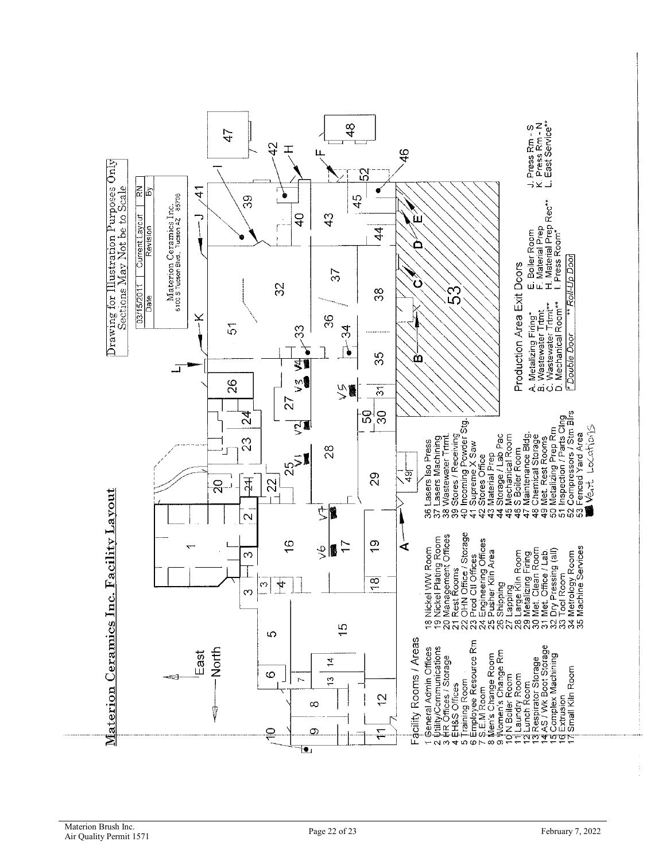